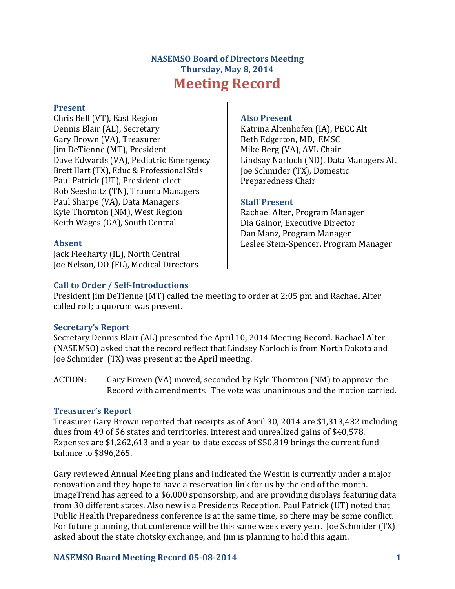# **NASEMSO Board of Directors Meeting Thursday, May 8, 2014 Meeting Record**

### **Present**

Chris Bell (VT), East Region Dennis Blair (AL), Secretary Gary Brown (VA), Treasurer Jim DeTienne (MT), President Dave Edwards (VA), Pediatric Emergency Brett Hart (TX), Educ & Professional Stds Paul Patrick (UT), President-elect Rob Seesholtz (TN), Trauma Managers Paul Sharpe (VA), Data Managers Kyle Thornton (NM), West Region Keith Wages (GA), South Central

### **Absent**

Jack Fleeharty (IL), North Central Joe Nelson, DO (FL), Medical Directors

#### **Also Present**

Katrina Altenhofen (IA), PECC Alt Beth Edgerton, MD, EMSC Mike Berg (VA), AVL Chair Lindsay Narloch (ND), Data Managers Alt Joe Schmider (TX), Domestic Preparedness Chair

### **Staff Present**

Rachael Alter, Program Manager Dia Gainor, Executive Director Dan Manz, Program Manager Leslee Stein-Spencer, Program Manager

### **Call to Order / Self-Introductions**

President Jim DeTienne (MT) called the meeting to order at 2:05 pm and Rachael Alter called roll; a quorum was present.

### **Secretary's Report**

Secretary Dennis Blair (AL) presented the April 10, 2014 Meeting Record. Rachael Alter (NASEMSO) asked that the record reflect that Lindsey Narloch is from North Dakota and Joe Schmider (TX) was present at the April meeting.

ACTION: Gary Brown (VA) moved, seconded by Kyle Thornton (NM) to approve the Record with amendments. The vote was unanimous and the motion carried.

### **Treasurer's Report**

Treasurer Gary Brown reported that receipts as of April 30, 2014 are \$1,313,432 including dues from 49 of 56 states and territories, interest and unrealized gains of \$40,578. Expenses are \$1,262,613 and a year-to-date excess of \$50,819 brings the current fund balance to \$896,265.

Gary reviewed Annual Meeting plans and indicated the Westin is currently under a major renovation and they hope to have a reservation link for us by the end of the month. ImageTrend has agreed to a \$6,000 sponsorship, and are providing displays featuring data from 30 different states. Also new is a Presidents Reception. Paul Patrick (UT) noted that Public Health Preparedness conference is at the same time, so there may be some conflict. For future planning, that conference will be this same week every year. Joe Schmider (TX) asked about the state chotsky exchange, and Jim is planning to hold this again.

### **NASEMSO Board Meeting Record 05-08-2014 1**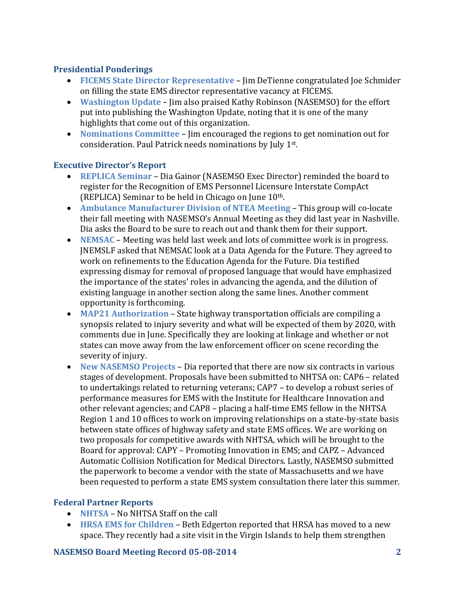### **Presidential Ponderings**

- **FICEMS State Director Representative** Jim DeTienne congratulated Joe Schmider on filling the state EMS director representative vacancy at FICEMS.
- **Washington Update** Jim also praised Kathy Robinson (NASEMSO) for the effort put into publishing the Washington Update, noting that it is one of the many highlights that come out of this organization.
- **Nominations Committee** Jim encouraged the regions to get nomination out for consideration. Paul Patrick needs nominations by July 1st .

### **Executive Director's Report**

- **REPLICA Seminar** Dia Gainor (NASEMSO Exec Director) reminded the board to register for the Recognition of EMS Personnel Licensure Interstate CompAct (REPLICA) Seminar to be held in Chicago on June 10th.
- **Ambulance Manufacturer Division of NTEA Meeting**  This group will co-locate their fall meeting with NASEMSO's Annual Meeting as they did last year in Nashville. Dia asks the Board to be sure to reach out and thank them for their support.
- **NEMSAC** Meeting was held last week and lots of committee work is in progress. JNEMSLF asked that NEMSAC look at a Data Agenda for the Future. They agreed to work on refinements to the Education Agenda for the Future. Dia testified expressing dismay for removal of proposed language that would have emphasized the importance of the states' roles in advancing the agenda, and the dilution of existing language in another section along the same lines. Another comment opportunity is forthcoming.
- **MAP21 Authorization** State highway transportation officials are compiling a synopsis related to injury severity and what will be expected of them by 2020, with comments due in June. Specifically they are looking at linkage and whether or not states can move away from the law enforcement officer on scene recording the severity of injury.
- **New NASEMSO Projects**  Dia reported that there are now six contracts in various stages of development. Proposals have been submitted to NHTSA on: CAP6 – related to undertakings related to returning veterans; CAP7 – to develop a robust series of performance measures for EMS with the Institute for Healthcare Innovation and other relevant agencies; and CAP8 – placing a half-time EMS fellow in the NHTSA Region 1 and 10 offices to work on improving relationships on a state-by-state basis between state offices of highway safety and state EMS offices. We are working on two proposals for competitive awards with NHTSA, which will be brought to the Board for approval: CAPY – Promoting Innovation in EMS; and CAPZ – Advanced Automatic Collision Notification for Medical Directors. Lastly, NASEMSO submitted the paperwork to become a vendor with the state of Massachusetts and we have been requested to perform a state EMS system consultation there later this summer.

# **Federal Partner Reports**

- **NHTSA** No NHTSA Staff on the call
- **HRSA EMS for Children**  Beth Edgerton reported that HRSA has moved to a new space. They recently had a site visit in the Virgin Islands to help them strengthen

### **NASEMSO Board Meeting Record 05-08-2014 2**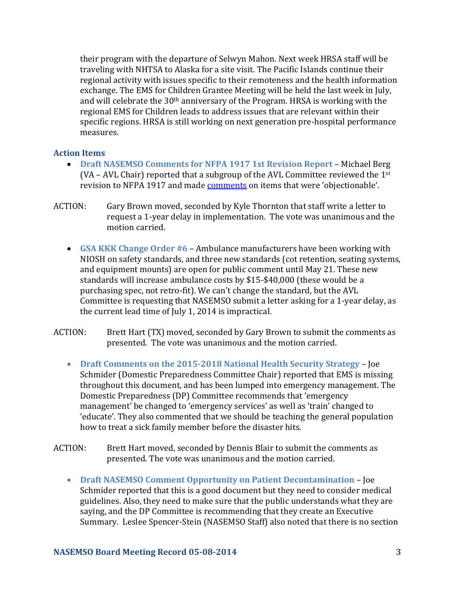their program with the departure of Selwyn Mahon. Next week HRSA staff will be traveling with NHTSA to Alaska for a site visit. The Pacific Islands continue their regional activity with issues specific to their remoteness and the health information exchange. The EMS for Children Grantee Meeting will be held the last week in July, and will celebrate the 30<sup>th</sup> anniversary of the Program. HRSA is working with the regional EMS for Children leads to address issues that are relevant within their specific regions. HRSA is still working on next generation pre-hospital performance measures.

### **Action Items**

- **Draft NASEMSO Comments for NFPA 1917 1st Revision Report Michael Berg** (VA – AVL Chair) reported that a subgroup of the AVL Committee reviewed the 1st revision to NFPA 1917 and made [comments](mailto:https://www.nasemso.org/Members/Board/documents/NASEMSO-Proposed-Comments-NFPA-1917-05May2014.pdf) on items that were 'objectionable'.
- ACTION: Gary Brown moved, seconded by Kyle Thornton that staff write a letter to request a 1-year delay in implementation. The vote was unanimous and the motion carried.
	- **GSA KKK Change Order #6** Ambulance manufacturers have been working with NIOSH on safety standards, and three new standards (cot retention, seating systems, and equipment mounts) are open for public comment until May 21. These new standards will increase ambulance costs by \$15-\$40,000 (these would be a purchasing spec, not retro-fit). We can't change the standard, but the AVL Committee is requesting that NASEMSO submit a letter asking for a 1-year delay, as the current lead time of July 1, 2014 is impractical.
- ACTION: Brett Hart (TX) moved, seconded by Gary Brown to submit the comments as presented. The vote was unanimous and the motion carried.
	- **Draft Comments on the 2015-2018 National Health Security Strategy**  Joe Schmider (Domestic Preparedness Committee Chair) reported that EMS is missing throughout this document, and has been lumped into emergency management. The Domestic Preparedness (DP) Committee recommends that 'emergency management' be changed to 'emergency services' as well as 'train' changed to 'educate'. They also commented that we should be teaching the general population how to treat a sick family member before the disaster hits.
- ACTION: Brett Hart moved, seconded by Dennis Blair to submit the comments as presented. The vote was unanimous and the motion carried.
	- **Draft NASEMSO Comment Opportunity on Patient Decontamination**  Joe Schmider reported that this is a good document but they need to consider medical guidelines. Also, they need to make sure that the public understands what they are saying, and the DP Committee is recommending that they create an Executive Summary. Leslee Spencer-Stein (NASEMSO Staff) also noted that there is no section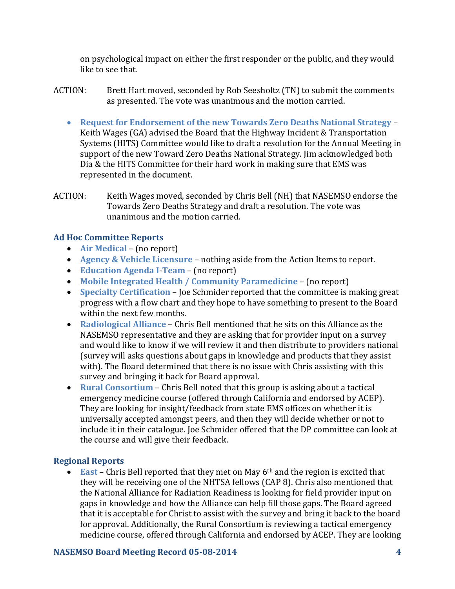on psychological impact on either the first responder or the public, and they would like to see that.

- ACTION: Brett Hart moved, seconded by Rob Seesholtz (TN) to submit the comments as presented. The vote was unanimous and the motion carried.
	- **Request for Endorsement of the new Towards Zero Deaths National Strategy**  Keith Wages (GA) advised the Board that the Highway Incident & Transportation Systems (HITS) Committee would like to draft a resolution for the Annual Meeting in support of the new Toward Zero Deaths National Strategy. Jim acknowledged both Dia & the HITS Committee for their hard work in making sure that EMS was represented in the document.
- ACTION: Keith Wages moved, seconded by Chris Bell (NH) that NASEMSO endorse the Towards Zero Deaths Strategy and draft a resolution. The vote was unanimous and the motion carried.

### **Ad Hoc Committee Reports**

- **Air Medical** (no report)
- **Agency & Vehicle Licensure**  nothing aside from the Action Items to report.
- **Education Agenda I**-**Team** (no report)
- **Mobile Integrated Health / Community Paramedicine**  (no report)
- **Specialty Certification**  Joe Schmider reported that the committee is making great progress with a flow chart and they hope to have something to present to the Board within the next few months.
- **Radiological Alliance** Chris Bell mentioned that he sits on this Alliance as the NASEMSO representative and they are asking that for provider input on a survey and would like to know if we will review it and then distribute to providers national (survey will asks questions about gaps in knowledge and products that they assist with). The Board determined that there is no issue with Chris assisting with this survey and bringing it back for Board approval.
- **Rural Consortium**  Chris Bell noted that this group is asking about a tactical emergency medicine course (offered through California and endorsed by ACEP). They are looking for insight/feedback from state EMS offices on whether it is universally accepted amongst peers, and then they will decide whether or not to include it in their catalogue. Joe Schmider offered that the DP committee can look at the course and will give their feedback.

# **Regional Reports**

• **East** – Chris Bell reported that they met on May 6<sup>th</sup> and the region is excited that they will be receiving one of the NHTSA fellows (CAP 8). Chris also mentioned that the National Alliance for Radiation Readiness is looking for field provider input on gaps in knowledge and how the Alliance can help fill those gaps. The Board agreed that it is acceptable for Christ to assist with the survey and bring it back to the board for approval. Additionally, the Rural Consortium is reviewing a tactical emergency medicine course, offered through California and endorsed by ACEP. They are looking

### **NASEMSO Board Meeting Record 05-08-2014 4**